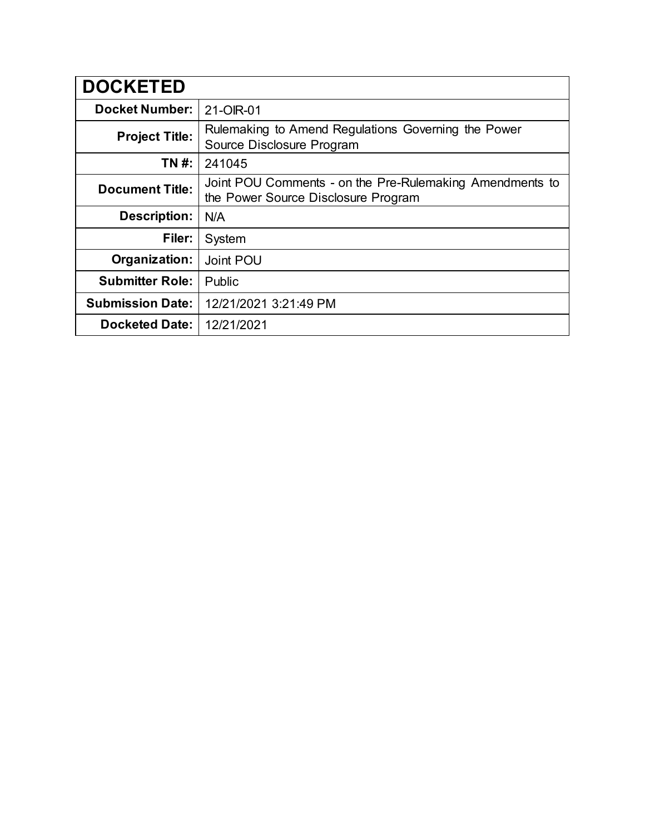| <b>DOCKETED</b>         |                                                                                                 |
|-------------------------|-------------------------------------------------------------------------------------------------|
| <b>Docket Number:</b>   | 21-OIR-01                                                                                       |
| <b>Project Title:</b>   | Rulemaking to Amend Regulations Governing the Power<br>Source Disclosure Program                |
| TN #:                   | 241045                                                                                          |
| <b>Document Title:</b>  | Joint POU Comments - on the Pre-Rulemaking Amendments to<br>the Power Source Disclosure Program |
| <b>Description:</b>     | N/A                                                                                             |
| Filer:                  | System                                                                                          |
| Organization:           | Joint POU                                                                                       |
| <b>Submitter Role:</b>  | Public                                                                                          |
| <b>Submission Date:</b> | 12/21/2021 3:21:49 PM                                                                           |
| <b>Docketed Date:</b>   | 12/21/2021                                                                                      |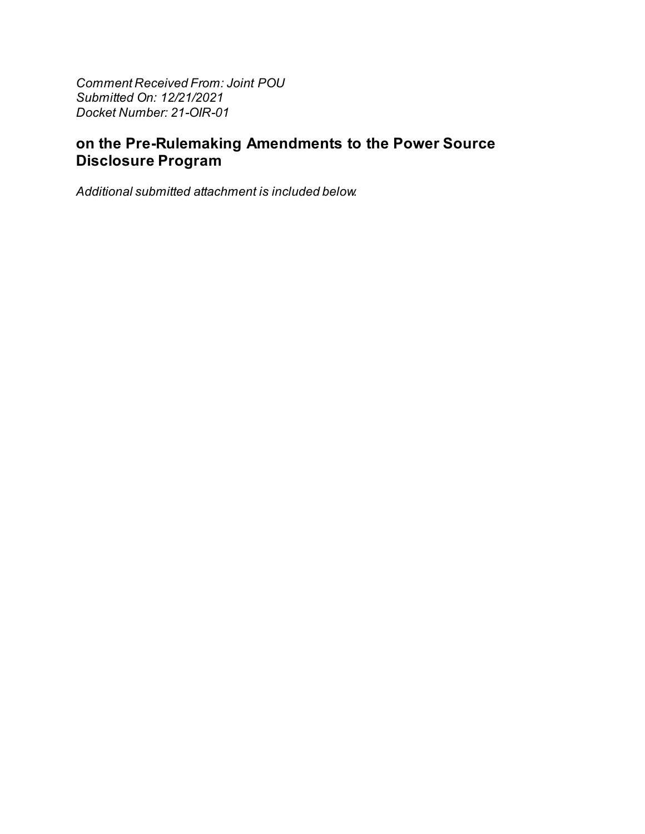Comment Received From: Joint POU Submitted On: 12/21/2021 Docket Number: 21-OIR-01

# on the Pre-Rulemaking Amendments to the Power Source **Disclosure Program**

Additional submitted attachment is included below.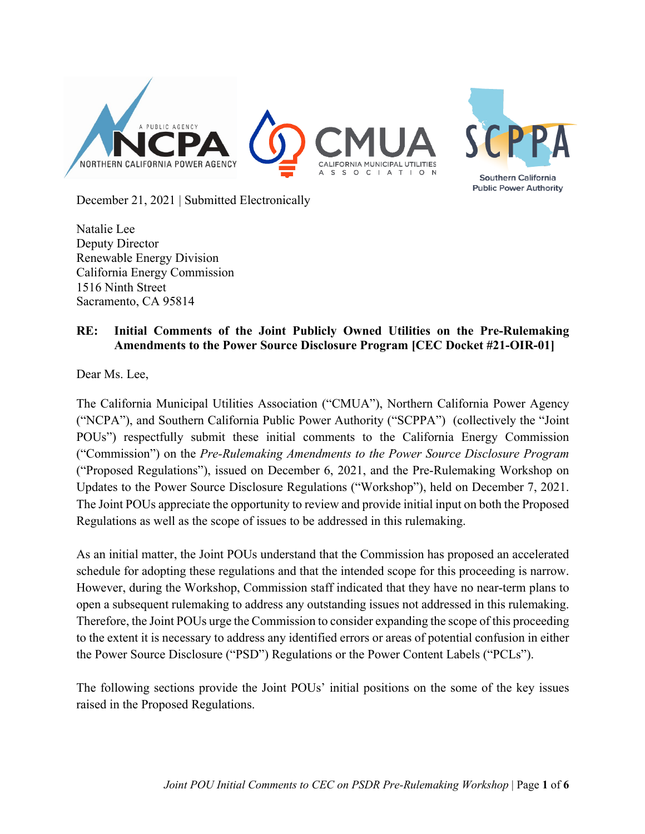

December 21, 2021 | Submitted Electronically

Natalie Lee Deputy Director Renewable Energy Division California Energy Commission 1516 Ninth Street Sacramento, CA 95814

#### **RE: Initial Comments of the Joint Publicly Owned Utilities on the Pre-Rulemaking Amendments to the Power Source Disclosure Program [CEC Docket #21-OIR-01]**

Dear Ms. Lee,

The California Municipal Utilities Association ("CMUA"), Northern California Power Agency ("NCPA"), and Southern California Public Power Authority ("SCPPA") (collectively the "Joint POUs") respectfully submit these initial comments to the California Energy Commission ("Commission") on the *Pre-Rulemaking Amendments to the Power Source Disclosure Program* ("Proposed Regulations"), issued on December 6, 2021, and the Pre-Rulemaking Workshop on Updates to the Power Source Disclosure Regulations ("Workshop"), held on December 7, 2021. The Joint POUs appreciate the opportunity to review and provide initial input on both the Proposed Regulations as well as the scope of issues to be addressed in this rulemaking.

As an initial matter, the Joint POUs understand that the Commission has proposed an accelerated schedule for adopting these regulations and that the intended scope for this proceeding is narrow. However, during the Workshop, Commission staff indicated that they have no near-term plans to open a subsequent rulemaking to address any outstanding issues not addressed in this rulemaking. Therefore, the Joint POUs urge the Commission to consider expanding the scope of this proceeding to the extent it is necessary to address any identified errors or areas of potential confusion in either the Power Source Disclosure ("PSD") Regulations or the Power Content Labels ("PCLs").

The following sections provide the Joint POUs' initial positions on the some of the key issues raised in the Proposed Regulations.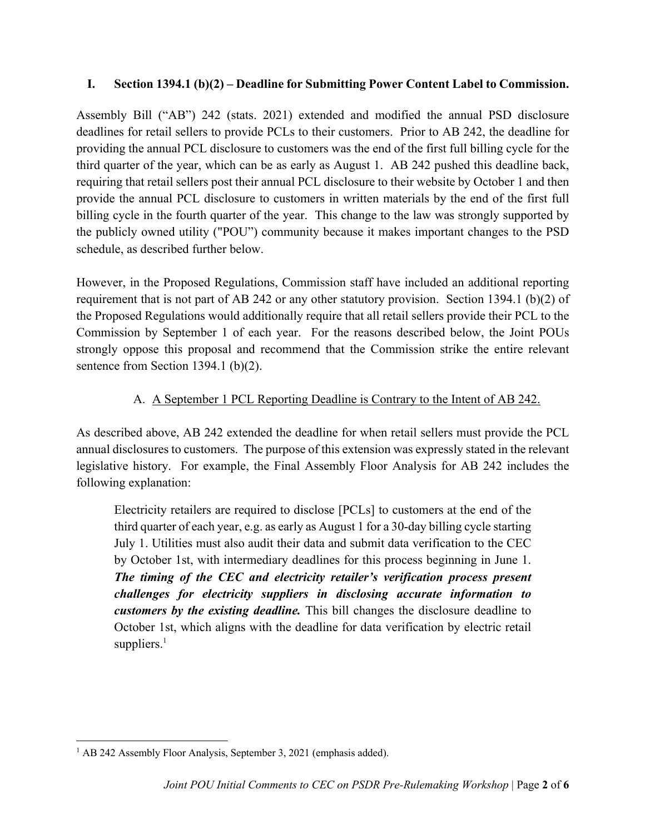#### **I. Section 1394.1 (b)(2) – Deadline for Submitting Power Content Label to Commission.**

Assembly Bill ("AB") 242 (stats. 2021) extended and modified the annual PSD disclosure deadlines for retail sellers to provide PCLs to their customers. Prior to AB 242, the deadline for providing the annual PCL disclosure to customers was the end of the first full billing cycle for the third quarter of the year, which can be as early as August 1. AB 242 pushed this deadline back, requiring that retail sellers post their annual PCL disclosure to their website by October 1 and then provide the annual PCL disclosure to customers in written materials by the end of the first full billing cycle in the fourth quarter of the year. This change to the law was strongly supported by the publicly owned utility ("POU") community because it makes important changes to the PSD schedule, as described further below.

However, in the Proposed Regulations, Commission staff have included an additional reporting requirement that is not part of AB 242 or any other statutory provision. Section 1394.1 (b)(2) of the Proposed Regulations would additionally require that all retail sellers provide their PCL to the Commission by September 1 of each year. For the reasons described below, the Joint POUs strongly oppose this proposal and recommend that the Commission strike the entire relevant sentence from Section 1394.1 (b)(2).

### A. A September 1 PCL Reporting Deadline is Contrary to the Intent of AB 242.

As described above, AB 242 extended the deadline for when retail sellers must provide the PCL annual disclosures to customers. The purpose of this extension was expressly stated in the relevant legislative history. For example, the Final Assembly Floor Analysis for AB 242 includes the following explanation:

Electricity retailers are required to disclose [PCLs] to customers at the end of the third quarter of each year, e.g. as early as August 1 for a 30-day billing cycle starting July 1. Utilities must also audit their data and submit data verification to the CEC by October 1st, with intermediary deadlines for this process beginning in June 1. *The timing of the CEC and electricity retailer's verification process present challenges for electricity suppliers in disclosing accurate information to customers by the existing deadline.* This bill changes the disclosure deadline to October 1st, which aligns with the deadline for data verification by electric retail suppliers. $<sup>1</sup>$ </sup>

<sup>&</sup>lt;sup>1</sup> AB 242 Assembly Floor Analysis, September 3, 2021 (emphasis added).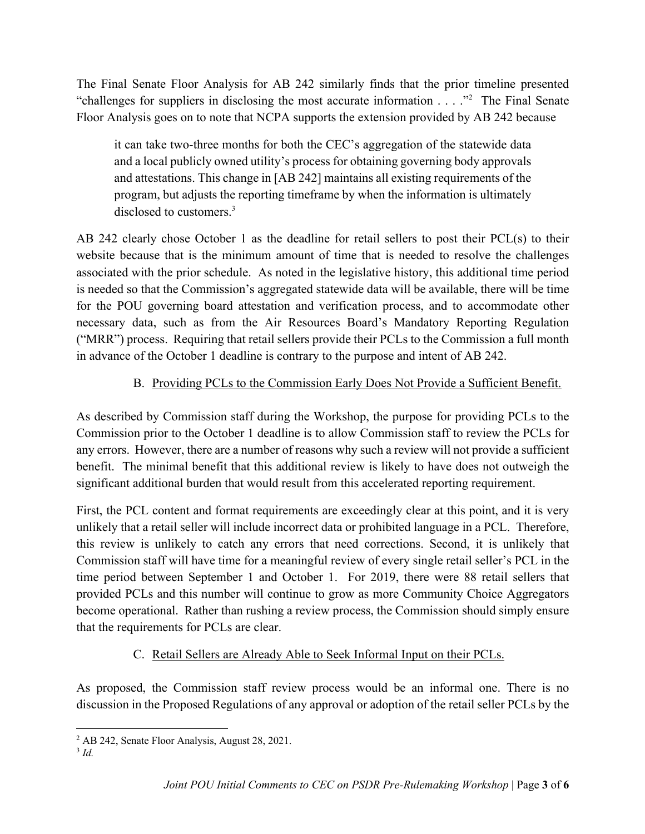The Final Senate Floor Analysis for AB 242 similarly finds that the prior timeline presented "challenges for suppliers in disclosing the most accurate information . . . ."2 The Final Senate Floor Analysis goes on to note that NCPA supports the extension provided by AB 242 because

it can take two-three months for both the CEC's aggregation of the statewide data and a local publicly owned utility's process for obtaining governing body approvals and attestations. This change in [AB 242] maintains all existing requirements of the program, but adjusts the reporting timeframe by when the information is ultimately disclosed to customers.<sup>3</sup>

AB 242 clearly chose October 1 as the deadline for retail sellers to post their PCL(s) to their website because that is the minimum amount of time that is needed to resolve the challenges associated with the prior schedule. As noted in the legislative history, this additional time period is needed so that the Commission's aggregated statewide data will be available, there will be time for the POU governing board attestation and verification process, and to accommodate other necessary data, such as from the Air Resources Board's Mandatory Reporting Regulation ("MRR") process. Requiring that retail sellers provide their PCLs to the Commission a full month in advance of the October 1 deadline is contrary to the purpose and intent of AB 242.

## B. Providing PCLs to the Commission Early Does Not Provide a Sufficient Benefit.

As described by Commission staff during the Workshop, the purpose for providing PCLs to the Commission prior to the October 1 deadline is to allow Commission staff to review the PCLs for any errors. However, there are a number of reasons why such a review will not provide a sufficient benefit. The minimal benefit that this additional review is likely to have does not outweigh the significant additional burden that would result from this accelerated reporting requirement.

First, the PCL content and format requirements are exceedingly clear at this point, and it is very unlikely that a retail seller will include incorrect data or prohibited language in a PCL. Therefore, this review is unlikely to catch any errors that need corrections. Second, it is unlikely that Commission staff will have time for a meaningful review of every single retail seller's PCL in the time period between September 1 and October 1. For 2019, there were 88 retail sellers that provided PCLs and this number will continue to grow as more Community Choice Aggregators become operational. Rather than rushing a review process, the Commission should simply ensure that the requirements for PCLs are clear.

## C. Retail Sellers are Already Able to Seek Informal Input on their PCLs.

As proposed, the Commission staff review process would be an informal one. There is no discussion in the Proposed Regulations of any approval or adoption of the retail seller PCLs by the

<sup>3</sup> *Id.*

<sup>&</sup>lt;sup>2</sup> AB 242, Senate Floor Analysis, August 28, 2021.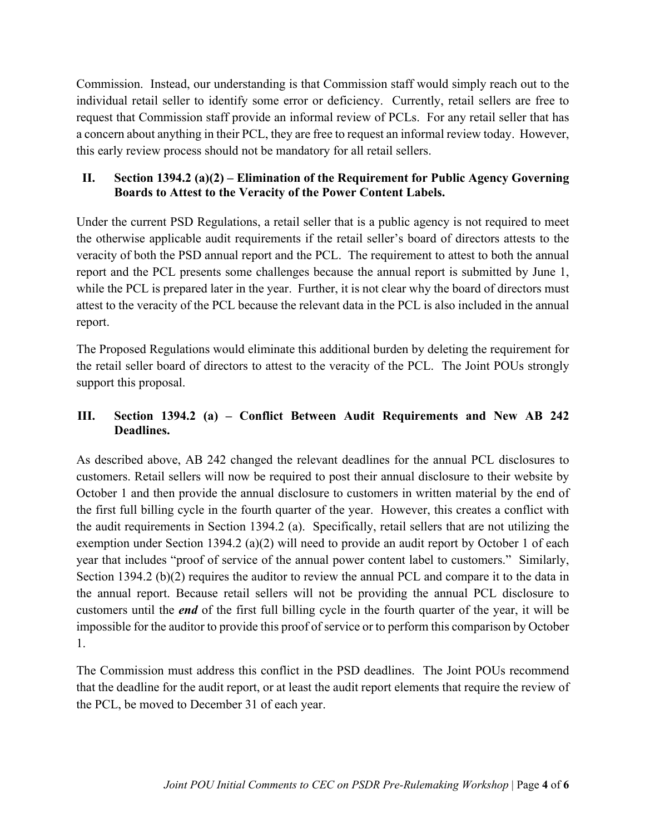Commission. Instead, our understanding is that Commission staff would simply reach out to the individual retail seller to identify some error or deficiency. Currently, retail sellers are free to request that Commission staff provide an informal review of PCLs. For any retail seller that has a concern about anything in their PCL, they are free to request an informal review today. However, this early review process should not be mandatory for all retail sellers.

#### **II. Section 1394.2 (a)(2) – Elimination of the Requirement for Public Agency Governing Boards to Attest to the Veracity of the Power Content Labels.**

Under the current PSD Regulations, a retail seller that is a public agency is not required to meet the otherwise applicable audit requirements if the retail seller's board of directors attests to the veracity of both the PSD annual report and the PCL. The requirement to attest to both the annual report and the PCL presents some challenges because the annual report is submitted by June 1, while the PCL is prepared later in the year. Further, it is not clear why the board of directors must attest to the veracity of the PCL because the relevant data in the PCL is also included in the annual report.

The Proposed Regulations would eliminate this additional burden by deleting the requirement for the retail seller board of directors to attest to the veracity of the PCL. The Joint POUs strongly support this proposal.

#### **III. Section 1394.2 (a) – Conflict Between Audit Requirements and New AB 242 Deadlines.**

As described above, AB 242 changed the relevant deadlines for the annual PCL disclosures to customers. Retail sellers will now be required to post their annual disclosure to their website by October 1 and then provide the annual disclosure to customers in written material by the end of the first full billing cycle in the fourth quarter of the year. However, this creates a conflict with the audit requirements in Section 1394.2 (a). Specifically, retail sellers that are not utilizing the exemption under Section 1394.2 (a)(2) will need to provide an audit report by October 1 of each year that includes "proof of service of the annual power content label to customers." Similarly, Section 1394.2 (b)(2) requires the auditor to review the annual PCL and compare it to the data in the annual report. Because retail sellers will not be providing the annual PCL disclosure to customers until the *end* of the first full billing cycle in the fourth quarter of the year, it will be impossible for the auditor to provide this proof of service or to perform this comparison by October 1.

The Commission must address this conflict in the PSD deadlines. The Joint POUs recommend that the deadline for the audit report, or at least the audit report elements that require the review of the PCL, be moved to December 31 of each year.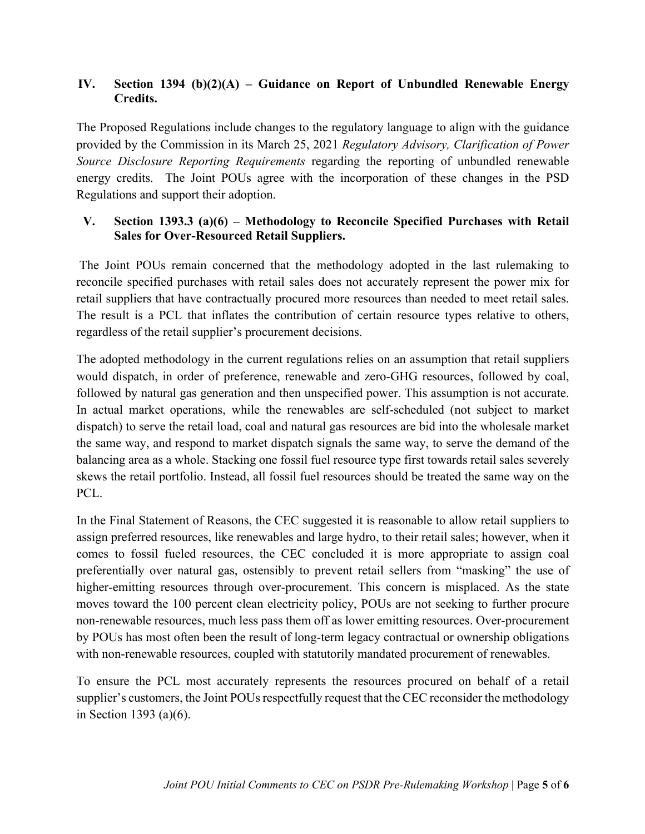#### **IV. Section 1394 (b)(2)(A) – Guidance on Report of Unbundled Renewable Energy Credits.**

The Proposed Regulations include changes to the regulatory language to align with the guidance provided by the Commission in its March 25, 2021 *Regulatory Advisory, Clarification of Power Source Disclosure Reporting Requirements* regarding the reporting of unbundled renewable energy credits. The Joint POUs agree with the incorporation of these changes in the PSD Regulations and support their adoption.

#### **V. Section 1393.3 (a)(6) – Methodology to Reconcile Specified Purchases with Retail Sales for Over-Resourced Retail Suppliers.**

The Joint POUs remain concerned that the methodology adopted in the last rulemaking to reconcile specified purchases with retail sales does not accurately represent the power mix for retail suppliers that have contractually procured more resources than needed to meet retail sales. The result is a PCL that inflates the contribution of certain resource types relative to others, regardless of the retail supplier's procurement decisions.

The adopted methodology in the current regulations relies on an assumption that retail suppliers would dispatch, in order of preference, renewable and zero-GHG resources, followed by coal, followed by natural gas generation and then unspecified power. This assumption is not accurate. In actual market operations, while the renewables are self-scheduled (not subject to market dispatch) to serve the retail load, coal and natural gas resources are bid into the wholesale market the same way, and respond to market dispatch signals the same way, to serve the demand of the balancing area as a whole. Stacking one fossil fuel resource type first towards retail sales severely skews the retail portfolio. Instead, all fossil fuel resources should be treated the same way on the PCL.

In the Final Statement of Reasons, the CEC suggested it is reasonable to allow retail suppliers to assign preferred resources, like renewables and large hydro, to their retail sales; however, when it comes to fossil fueled resources, the CEC concluded it is more appropriate to assign coal preferentially over natural gas, ostensibly to prevent retail sellers from "masking" the use of higher-emitting resources through over-procurement. This concern is misplaced. As the state moves toward the 100 percent clean electricity policy, POUs are not seeking to further procure non-renewable resources, much less pass them off as lower emitting resources. Over-procurement by POUs has most often been the result of long-term legacy contractual or ownership obligations with non-renewable resources, coupled with statutorily mandated procurement of renewables.

To ensure the PCL most accurately represents the resources procured on behalf of a retail supplier's customers, the Joint POUs respectfully request that the CEC reconsider the methodology in Section 1393 (a)(6).